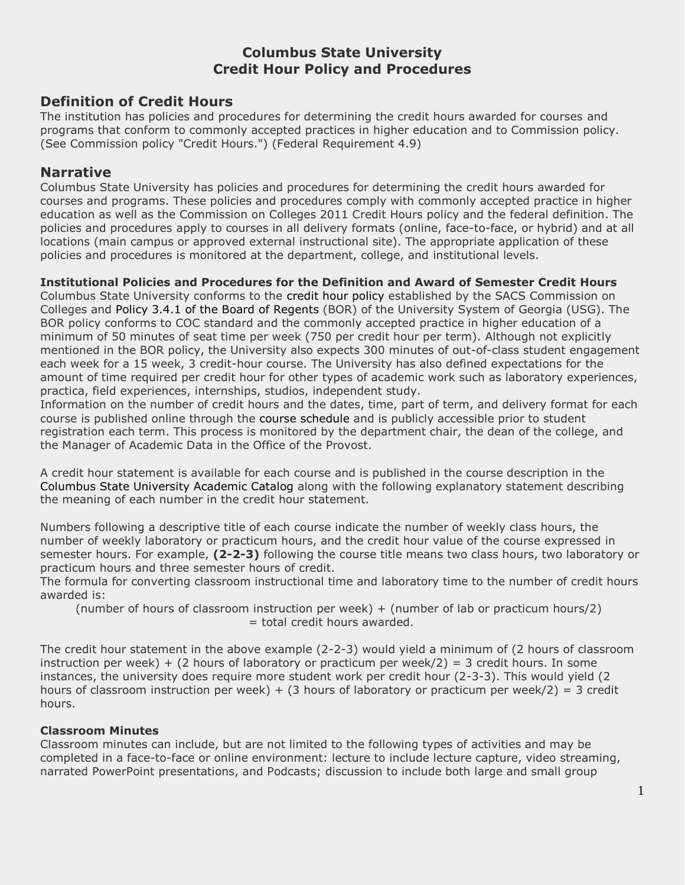# **Columbus State University Credit Hour Policy and Procedures**

# **Definition of Credit Hours**

The institution has policies and procedures for determining the credit hours awarded for courses and programs that conform to commonly accepted practices in higher education and to Commission policy. (See Commission policy "Credit Hours.") (Federal Requirement 4.9)

# **Narrative**

Columbus State University has policies and procedures for determining the credit hours awarded for courses and programs. These policies and procedures comply with commonly accepted practice in higher education as well as the Commission on Colleges 2011 Credit Hours policy and the federal definition. The policies and procedures apply to courses in all delivery formats (online, face-to-face, or hybrid) and at all locations (main campus or approved external instructional site). The appropriate application of these policies and procedures is monitored at the department, college, and institutional levels.

## **Institutional Policies and Procedures for the Definition and Award of Semester Credit Hours**

Columbus State University conforms to the credit hour policy established by the SACS Commission on Colleges and Policy 3.4.1 of the Board of Regents (BOR) of the University System of Georgia (USG). The BOR policy conforms to COC standard and the commonly accepted practice in higher education of a minimum of 50 minutes of seat time per week (750 per credit hour per term). Although not explicitly mentioned in the BOR policy, the University also expects 300 minutes of out-of-class student engagement each week for a 15 week, 3 credit-hour course. The University has also defined expectations for the amount of time required per credit hour for other types of academic work such as laboratory experiences, practica, field experiences, internships, studios, independent study.

Information on the number of credit hours and the dates, time, part of term, and delivery format for each course is published online through the course schedule and is publicly accessible prior to student registration each term. This process is monitored by the department chair, the dean of the college, and the Manager of Academic Data in the Office of the Provost.

A credit hour statement is available for each course and is published in the course description in the Columbus State University Academic Catalog along with the following explanatory statement describing the meaning of each number in the credit hour statement.

Numbers following a descriptive title of each course indicate the number of weekly class hours, the number of weekly laboratory or practicum hours, and the credit hour value of the course expressed in semester hours. For example, **(2-2-3)** following the course title means two class hours, two laboratory or practicum hours and three semester hours of credit.

The formula for converting classroom instructional time and laboratory time to the number of credit hours awarded is:

 (number of hours of classroom instruction per week) + (number of lab or practicum hours/2) = total credit hours awarded.

The credit hour statement in the above example (2-2-3) would yield a minimum of (2 hours of classroom instruction per week) + (2 hours of laboratory or practicum per week/2) = 3 credit hours. In some instances, the university does require more student work per credit hour (2-3-3). This would yield (2 hours of classroom instruction per week) + (3 hours of laboratory or practicum per week/2) = 3 credit hours.

# **Classroom Minutes**

Classroom minutes can include, but are not limited to the following types of activities and may be completed in a face-to-face or online environment: lecture to include lecture capture, video streaming, narrated PowerPoint presentations, and Podcasts; discussion to include both large and small group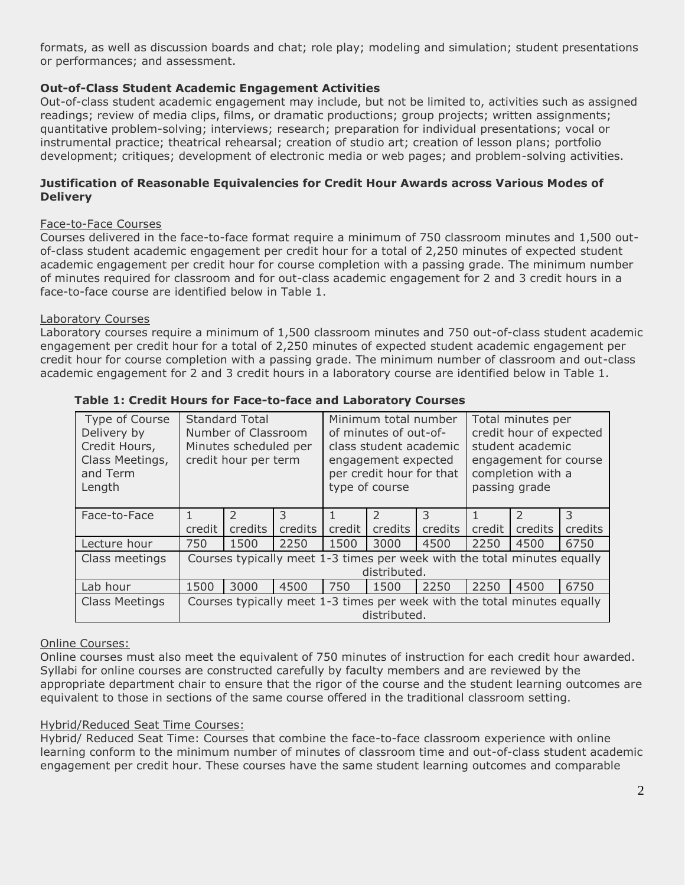formats, as well as discussion boards and chat; role play; modeling and simulation; student presentations or performances; and assessment.

# **Out-of-Class Student Academic Engagement Activities**

Out-of-class student academic engagement may include, but not be limited to, activities such as assigned readings; review of media clips, films, or dramatic productions; group projects; written assignments; quantitative problem-solving; interviews; research; preparation for individual presentations; vocal or instrumental practice; theatrical rehearsal; creation of studio art; creation of lesson plans; portfolio development; critiques; development of electronic media or web pages; and problem-solving activities.

## **Justification of Reasonable Equivalencies for Credit Hour Awards across Various Modes of Delivery**

## Face-to-Face Courses

Courses delivered in the face-to-face format require a minimum of 750 classroom minutes and 1,500 outof-class student academic engagement per credit hour for a total of 2,250 minutes of expected student academic engagement per credit hour for course completion with a passing grade. The minimum number of minutes required for classroom and for out-class academic engagement for 2 and 3 credit hours in a face-to-face course are identified below in Table 1.

## Laboratory Courses

Laboratory courses require a minimum of 1,500 classroom minutes and 750 out-of-class student academic engagement per credit hour for a total of 2,250 minutes of expected student academic engagement per credit hour for course completion with a passing grade. The minimum number of classroom and out-class academic engagement for 2 and 3 credit hours in a laboratory course are identified below in Table 1.

| Type of Course<br>Delivery by<br>Credit Hours,<br>Class Meetings,<br>and Term<br>Length |                                                                                          | <b>Standard Total</b><br>Number of Classroom<br>Minutes scheduled per<br>credit hour per term |         | Minimum total number<br>of minutes of out-of-<br>class student academic<br>engagement expected<br>per credit hour for that<br>type of course |               |         | Total minutes per<br>credit hour of expected<br>student academic<br>engagement for course<br>completion with a<br>passing grade |         |         |
|-----------------------------------------------------------------------------------------|------------------------------------------------------------------------------------------|-----------------------------------------------------------------------------------------------|---------|----------------------------------------------------------------------------------------------------------------------------------------------|---------------|---------|---------------------------------------------------------------------------------------------------------------------------------|---------|---------|
| Face-to-Face                                                                            |                                                                                          |                                                                                               | 3       |                                                                                                                                              | $\mathcal{L}$ | 3       |                                                                                                                                 |         | 3       |
|                                                                                         | credit                                                                                   | credits                                                                                       | credits | credit                                                                                                                                       | credits       | credits | credit                                                                                                                          | credits | credits |
| Lecture hour                                                                            | 750                                                                                      | 1500                                                                                          | 2250    | 1500                                                                                                                                         | 3000          | 4500    | 2250                                                                                                                            | 4500    | 6750    |
| Class meetings                                                                          | Courses typically meet 1-3 times per week with the total minutes equally<br>distributed. |                                                                                               |         |                                                                                                                                              |               |         |                                                                                                                                 |         |         |
| Lab hour                                                                                | 1500                                                                                     | 3000                                                                                          | 4500    | 750                                                                                                                                          | 1500          | 2250    | 2250                                                                                                                            | 4500    | 6750    |
| <b>Class Meetings</b>                                                                   | Courses typically meet 1-3 times per week with the total minutes equally<br>distributed. |                                                                                               |         |                                                                                                                                              |               |         |                                                                                                                                 |         |         |

## **Table 1: Credit Hours for Face-to-face and Laboratory Courses**

#### Online Courses:

Online courses must also meet the equivalent of 750 minutes of instruction for each credit hour awarded. Syllabi for online courses are constructed carefully by faculty members and are reviewed by the appropriate department chair to ensure that the rigor of the course and the student learning outcomes are equivalent to those in sections of the same course offered in the traditional classroom setting.

#### Hybrid/Reduced Seat Time Courses:

Hybrid/ Reduced Seat Time: Courses that combine the face-to-face classroom experience with online learning conform to the minimum number of minutes of classroom time and out-of-class student academic engagement per credit hour. These courses have the same student learning outcomes and comparable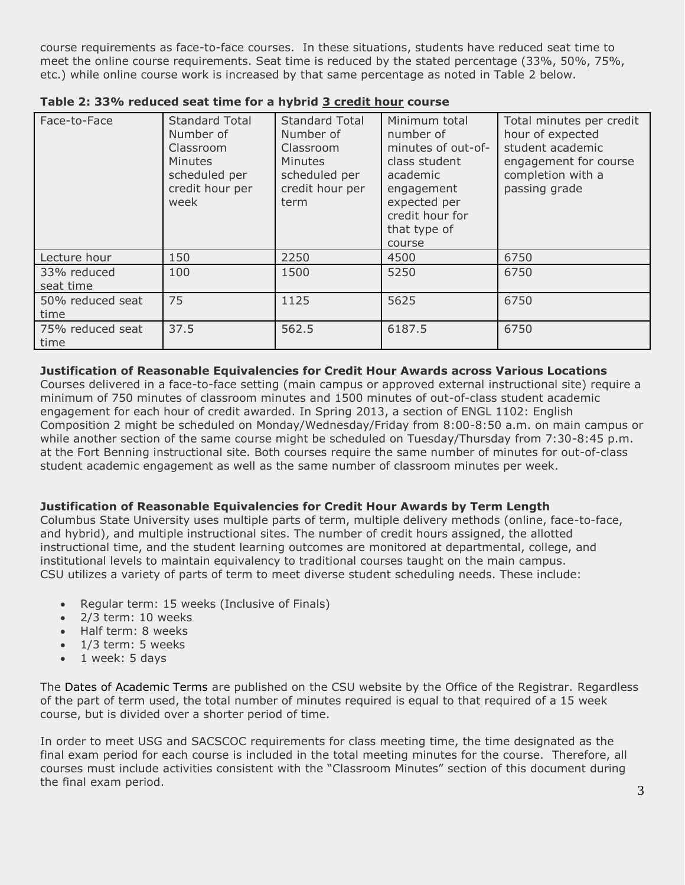course requirements as face-to-face courses. In these situations, students have reduced seat time to meet the online course requirements. Seat time is reduced by the stated percentage (33%, 50%, 75%, etc.) while online course work is increased by that same percentage as noted in Table 2 below.

| Face-to-Face             | <b>Standard Total</b><br>Number of<br>Classroom<br><b>Minutes</b><br>scheduled per<br>credit hour per<br>week | <b>Standard Total</b><br>Number of<br>Classroom<br><b>Minutes</b><br>scheduled per<br>credit hour per<br>term | Minimum total<br>number of<br>minutes of out-of-<br>class student<br>academic<br>engagement<br>expected per<br>credit hour for<br>that type of<br>course | Total minutes per credit<br>hour of expected<br>student academic<br>engagement for course<br>completion with a<br>passing grade |
|--------------------------|---------------------------------------------------------------------------------------------------------------|---------------------------------------------------------------------------------------------------------------|----------------------------------------------------------------------------------------------------------------------------------------------------------|---------------------------------------------------------------------------------------------------------------------------------|
| Lecture hour             | 150                                                                                                           | 2250                                                                                                          | 4500                                                                                                                                                     | 6750                                                                                                                            |
| 33% reduced<br>seat time | 100                                                                                                           | 1500                                                                                                          | 5250                                                                                                                                                     | 6750                                                                                                                            |
| 50% reduced seat<br>time | 75                                                                                                            | 1125                                                                                                          | 5625                                                                                                                                                     | 6750                                                                                                                            |
| 75% reduced seat<br>time | 37.5                                                                                                          | 562.5                                                                                                         | 6187.5                                                                                                                                                   | 6750                                                                                                                            |

**Table 2: 33% reduced seat time for a hybrid 3 credit hour course**

# **Justification of Reasonable Equivalencies for Credit Hour Awards across Various Locations**

Courses delivered in a face-to-face setting (main campus or approved external instructional site) require a minimum of 750 minutes of classroom minutes and 1500 minutes of out-of-class student academic engagement for each hour of credit awarded. In Spring 2013, a section of ENGL 1102: English Composition 2 might be scheduled on Monday/Wednesday/Friday from 8:00-8:50 a.m. on main campus or while another section of the same course might be scheduled on Tuesday/Thursday from 7:30-8:45 p.m. at the Fort Benning instructional site. Both courses require the same number of minutes for out-of-class student academic engagement as well as the same number of classroom minutes per week.

# **Justification of Reasonable Equivalencies for Credit Hour Awards by Term Length**

Columbus State University uses multiple parts of term, multiple delivery methods (online, face-to-face, and hybrid), and multiple instructional sites. The number of credit hours assigned, the allotted instructional time, and the student learning outcomes are monitored at departmental, college, and institutional levels to maintain equivalency to traditional courses taught on the main campus. CSU utilizes a variety of parts of term to meet diverse student scheduling needs. These include:

- Regular term: 15 weeks (Inclusive of Finals)
- 2/3 term: 10 weeks
- Half term: 8 weeks
- $\bullet$  1/3 term: 5 weeks
- 1 week: 5 days

The Dates of Academic Terms are published on the CSU website by the Office of the Registrar. Regardless of the part of term used, the total number of minutes required is equal to that required of a 15 week course, but is divided over a shorter period of time.

In order to meet USG and SACSCOC requirements for class meeting time, the time designated as the final exam period for each course is included in the total meeting minutes for the course. Therefore, all courses must include activities consistent with the "Classroom Minutes" section of this document during the final exam period.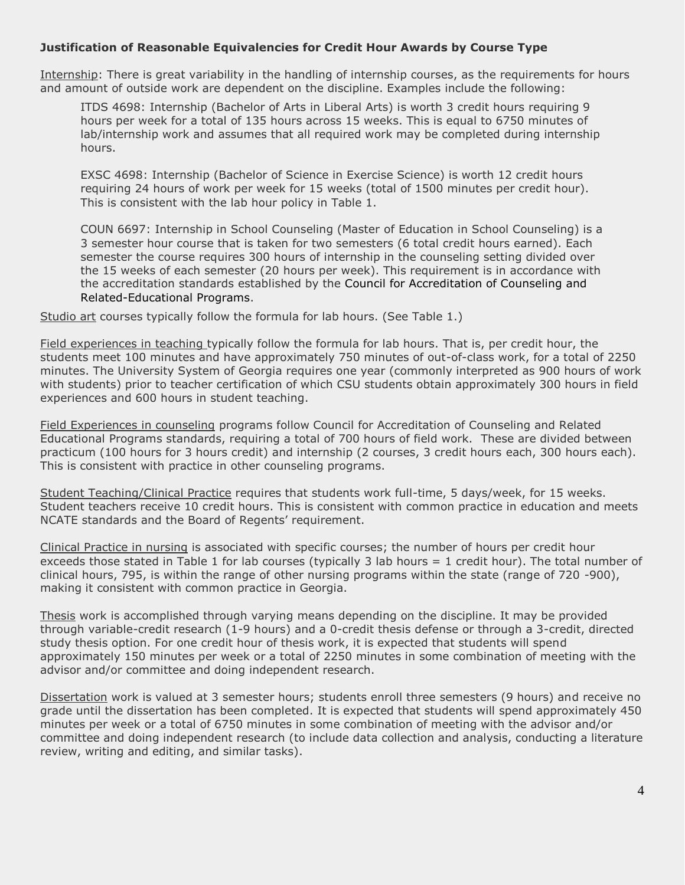# **Justification of Reasonable Equivalencies for Credit Hour Awards by Course Type**

Internship: There is great variability in the handling of internship courses, as the requirements for hours and amount of outside work are dependent on the discipline. Examples include the following:

ITDS 4698: Internship (Bachelor of Arts in Liberal Arts) is worth 3 credit hours requiring 9 hours per week for a total of 135 hours across 15 weeks. This is equal to 6750 minutes of lab/internship work and assumes that all required work may be completed during internship hours.

EXSC 4698: Internship (Bachelor of Science in Exercise Science) is worth 12 credit hours requiring 24 hours of work per week for 15 weeks (total of 1500 minutes per credit hour). This is consistent with the lab hour policy in Table 1.

COUN 6697: Internship in School Counseling (Master of Education in School Counseling) is a 3 semester hour course that is taken for two semesters (6 total credit hours earned). Each semester the course requires 300 hours of internship in the counseling setting divided over the 15 weeks of each semester (20 hours per week). This requirement is in accordance with the accreditation standards established by the Council for Accreditation of Counseling and Related-Educational Programs.

Studio art courses typically follow the formula for lab hours. (See Table 1.)

Field experiences in teaching typically follow the formula for lab hours. That is, per credit hour, the students meet 100 minutes and have approximately 750 minutes of out-of-class work, for a total of 2250 minutes. The University System of Georgia requires one year (commonly interpreted as 900 hours of work with students) prior to teacher certification of which CSU students obtain approximately 300 hours in field experiences and 600 hours in student teaching.

Field Experiences in counseling programs follow Council for Accreditation of Counseling and Related Educational Programs standards, requiring a total of 700 hours of field work. These are divided between practicum (100 hours for 3 hours credit) and internship (2 courses, 3 credit hours each, 300 hours each). This is consistent with practice in other counseling programs.

Student Teaching/Clinical Practice requires that students work full-time, 5 days/week, for 15 weeks. Student teachers receive 10 credit hours. This is consistent with common practice in education and meets NCATE standards and the Board of Regents' requirement.

Clinical Practice in nursing is associated with specific courses; the number of hours per credit hour exceeds those stated in Table 1 for lab courses (typically 3 lab hours = 1 credit hour). The total number of clinical hours, 795, is within the range of other nursing programs within the state (range of 720 -900), making it consistent with common practice in Georgia.

Thesis work is accomplished through varying means depending on the discipline. It may be provided through variable-credit research (1-9 hours) and a 0-credit thesis defense or through a 3-credit, directed study thesis option. For one credit hour of thesis work, it is expected that students will spend approximately 150 minutes per week or a total of 2250 minutes in some combination of meeting with the advisor and/or committee and doing independent research.

Dissertation work is valued at 3 semester hours; students enroll three semesters (9 hours) and receive no grade until the dissertation has been completed. It is expected that students will spend approximately 450 minutes per week or a total of 6750 minutes in some combination of meeting with the advisor and/or committee and doing independent research (to include data collection and analysis, conducting a literature review, writing and editing, and similar tasks).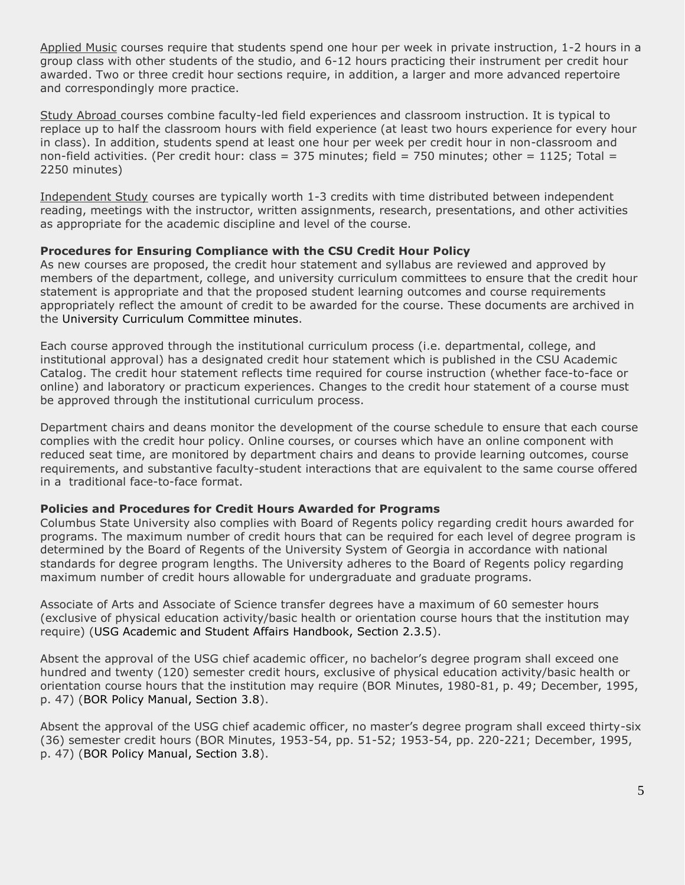Applied Music courses require that students spend one hour per week in private instruction, 1-2 hours in a group class with other students of the studio, and 6-12 hours practicing their instrument per credit hour awarded. Two or three credit hour sections require, in addition, a larger and more advanced repertoire and correspondingly more practice.

Study Abroad courses combine faculty-led field experiences and classroom instruction. It is typical to replace up to half the classroom hours with field experience (at least two hours experience for every hour in class). In addition, students spend at least one hour per week per credit hour in non-classroom and non-field activities. (Per credit hour: class =  $375$  minutes; field =  $750$  minutes; other =  $1125$ ; Total = 2250 minutes)

Independent Study courses are typically worth 1-3 credits with time distributed between independent reading, meetings with the instructor, written assignments, research, presentations, and other activities as appropriate for the academic discipline and level of the course.

#### **Procedures for Ensuring Compliance with the CSU Credit Hour Policy**

As new courses are proposed, the credit hour statement and syllabus are reviewed and approved by members of the department, college, and university curriculum committees to ensure that the credit hour statement is appropriate and that the proposed student learning outcomes and course requirements appropriately reflect the amount of credit to be awarded for the course. These documents are archived in the University Curriculum Committee minutes.

Each course approved through the institutional curriculum process (i.e. departmental, college, and institutional approval) has a designated credit hour statement which is published in the CSU Academic Catalog. The credit hour statement reflects time required for course instruction (whether face-to-face or online) and laboratory or practicum experiences. Changes to the credit hour statement of a course must be approved through the institutional curriculum process.

Department chairs and deans monitor the development of the course schedule to ensure that each course complies with the credit hour policy. Online courses, or courses which have an online component with reduced seat time, are monitored by department chairs and deans to provide learning outcomes, course requirements, and substantive faculty-student interactions that are equivalent to the same course offered in a traditional face-to-face format.

#### **Policies and Procedures for Credit Hours Awarded for Programs**

Columbus State University also complies with Board of Regents policy regarding credit hours awarded for programs. The maximum number of credit hours that can be required for each level of degree program is determined by the Board of Regents of the University System of Georgia in accordance with national standards for degree program lengths. The University adheres to the Board of Regents policy regarding maximum number of credit hours allowable for undergraduate and graduate programs.

Associate of Arts and Associate of Science transfer degrees have a maximum of 60 semester hours (exclusive of physical education activity/basic health or orientation course hours that the institution may require) (USG Academic and Student Affairs Handbook, Section 2.3.5).

Absent the approval of the USG chief academic officer, no bachelor's degree program shall exceed one hundred and twenty (120) semester credit hours, exclusive of physical education activity/basic health or orientation course hours that the institution may require (BOR Minutes, 1980-81, p. 49; December, 1995, p. 47) (BOR Policy Manual, Section 3.8).

Absent the approval of the USG chief academic officer, no master's degree program shall exceed thirty-six (36) semester credit hours (BOR Minutes, 1953-54, pp. 51-52; 1953-54, pp. 220-221; December, 1995, p. 47) (BOR Policy Manual, Section 3.8).